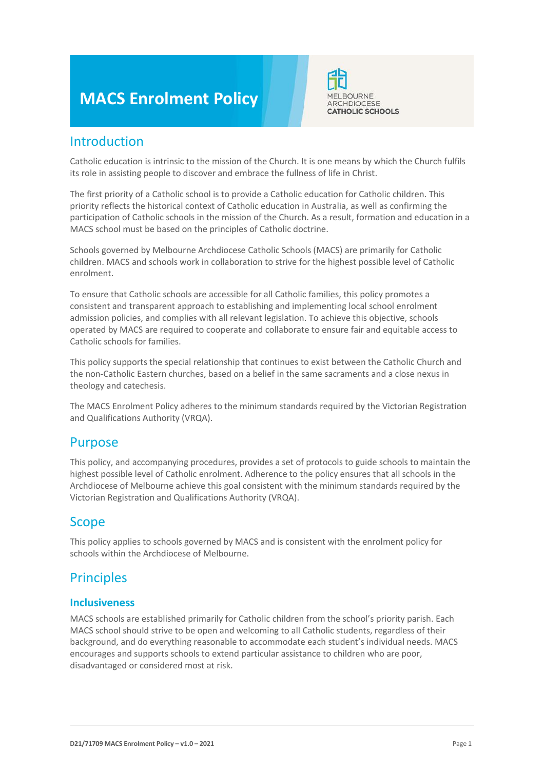# **MACS Enrolment Policy**



### Introduction

Catholic education is intrinsic to the mission of the Church. It is one means by which the Church fulfils its role in assisting people to discover and embrace the fullness of life in Christ.

The first priority of a Catholic school is to provide a Catholic education for Catholic children. This priority reflects the historical context of Catholic education in Australia, as well as confirming the participation of Catholic schools in the mission of the Church. As a result, formation and education in a MACS school must be based on the principles of Catholic doctrine.

Schools governed by Melbourne Archdiocese Catholic Schools (MACS) are primarily for Catholic children. MACS and schools work in collaboration to strive for the highest possible level of Catholic enrolment.

To ensure that Catholic schools are accessible for all Catholic families, this policy promotes a consistent and transparent approach to establishing and implementing local school enrolment admission policies, and complies with all relevant legislation. To achieve this objective, schools operated by MACS are required to cooperate and collaborate to ensure fair and equitable access to Catholic schools for families.

This policy supports the special relationship that continues to exist between the Catholic Church and the non-Catholic Eastern churches, based on a belief in the same sacraments and a close nexus in theology and catechesis.

The MACS Enrolment Policy adheres to the minimum standards required by the Victorian Registration and Qualifications Authority (VRQA).

### Purpose

This policy, and accompanying procedures, provides a set of protocols to guide schools to maintain the highest possible level of Catholic enrolment. Adherence to the policy ensures that all schools in the Archdiocese of Melbourne achieve this goal consistent with the minimum standards required by the Victorian Registration and Qualifications Authority (VRQA).

### Scope

This policy applies to schools governed by MACS and is consistent with the enrolment policy for schools within the Archdiocese of Melbourne.

### **Principles**

### **Inclusiveness**

MACS schools are established primarily for Catholic children from the school's priority parish. Each MACS school should strive to be open and welcoming to all Catholic students, regardless of their background, and do everything reasonable to accommodate each student's individual needs. MACS encourages and supports schools to extend particular assistance to children who are poor, disadvantaged or considered most at risk.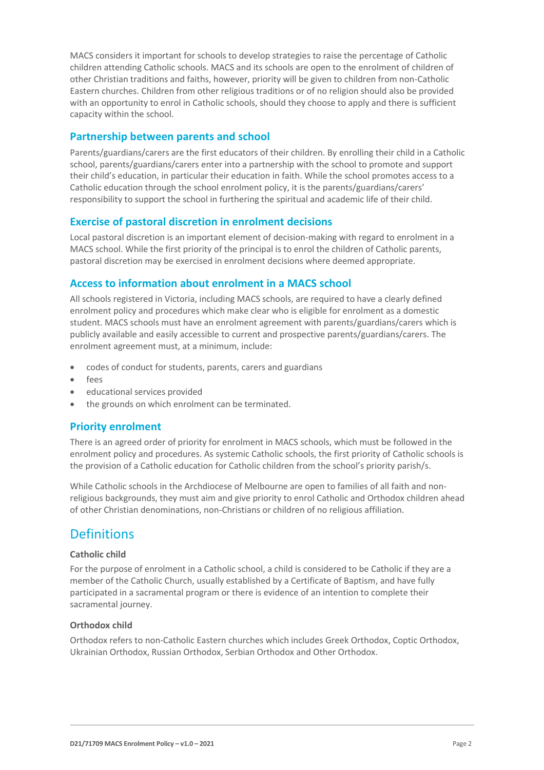MACS considers it important for schools to develop strategies to raise the percentage of Catholic children attending Catholic schools. MACS and its schools are open to the enrolment of children of other Christian traditions and faiths, however, priority will be given to children from non-Catholic Eastern churches. Children from other religious traditions or of no religion should also be provided with an opportunity to enrol in Catholic schools, should they choose to apply and there is sufficient capacity within the school.

### **Partnership between parents and school**

Parents/guardians/carers are the first educators of their children. By enrolling their child in a Catholic school, parents/guardians/carers enter into a partnership with the school to promote and support their child's education, in particular their education in faith. While the school promotes access to a Catholic education through the school enrolment policy, it is the parents/guardians/carers' responsibility to support the school in furthering the spiritual and academic life of their child.

### **Exercise of pastoral discretion in enrolment decisions**

Local pastoral discretion is an important element of decision-making with regard to enrolment in a MACS school. While the first priority of the principal is to enrol the children of Catholic parents, pastoral discretion may be exercised in enrolment decisions where deemed appropriate.

### **Access to information about enrolment in a MACS school**

All schools registered in Victoria, including MACS schools, are required to have a clearly defined enrolment policy and procedures which make clear who is eligible for enrolment as a domestic student. MACS schools must have an enrolment agreement with parents/guardians/carers which is publicly available and easily accessible to current and prospective parents/guardians/carers. The enrolment agreement must, at a minimum, include:

- codes of conduct for students, parents, carers and guardians
- fees
- educational services provided
- the grounds on which enrolment can be terminated.

### **Priority enrolment**

There is an agreed order of priority for enrolment in MACS schools, which must be followed in the enrolment policy and procedures. As systemic Catholic schools, the first priority of Catholic schools is the provision of a Catholic education for Catholic children from the school's priority parish/s.

While Catholic schools in the Archdiocese of Melbourne are open to families of all faith and nonreligious backgrounds, they must aim and give priority to enrol Catholic and Orthodox children ahead of other Christian denominations, non-Christians or children of no religious affiliation.

### **Definitions**

#### **Catholic child**

For the purpose of enrolment in a Catholic school, a child is considered to be Catholic if they are a member of the Catholic Church, usually established by a Certificate of Baptism, and have fully participated in a sacramental program or there is evidence of an intention to complete their sacramental journey.

#### **Orthodox child**

Orthodox refers to non-Catholic Eastern churches which includes Greek Orthodox, Coptic Orthodox, Ukrainian Orthodox, Russian Orthodox, Serbian Orthodox and Other Orthodox.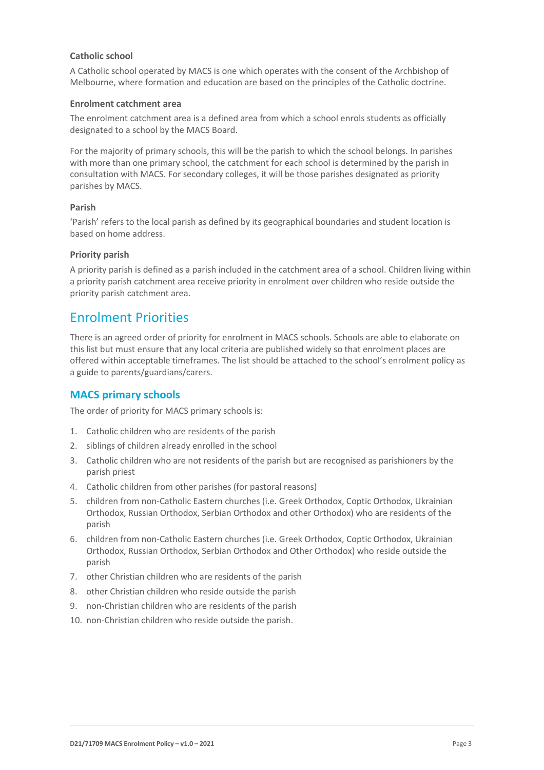#### **Catholic school**

A Catholic school operated by MACS is one which operates with the consent of the Archbishop of Melbourne, where formation and education are based on the principles of the Catholic doctrine.

#### **Enrolment catchment area**

The enrolment catchment area is a defined area from which a school enrols students as officially designated to a school by the MACS Board.

For the majority of primary schools, this will be the parish to which the school belongs. In parishes with more than one primary school, the catchment for each school is determined by the parish in consultation with MACS. For secondary colleges, it will be those parishes designated as priority parishes by MACS.

#### **Parish**

'Parish' refers to the local parish as defined by its geographical boundaries and student location is based on home address.

#### **Priority parish**

A priority parish is defined as a parish included in the catchment area of a school. Children living within a priority parish catchment area receive priority in enrolment over children who reside outside the priority parish catchment area.

### Enrolment Priorities

There is an agreed order of priority for enrolment in MACS schools. Schools are able to elaborate on this list but must ensure that any local criteria are published widely so that enrolment places are offered within acceptable timeframes. The list should be attached to the school's enrolment policy as a guide to parents/guardians/carers.

### **MACS primary schools**

The order of priority for MACS primary schools is:

- 1. Catholic children who are residents of the parish
- 2. siblings of children already enrolled in the school
- 3. Catholic children who are not residents of the parish but are recognised as parishioners by the parish priest
- 4. Catholic children from other parishes (for pastoral reasons)
- 5. children from non-Catholic Eastern churches (i.e. Greek Orthodox, Coptic Orthodox, Ukrainian Orthodox, Russian Orthodox, Serbian Orthodox and other Orthodox) who are residents of the parish
- 6. children from non-Catholic Eastern churches (i.e. Greek Orthodox, Coptic Orthodox, Ukrainian Orthodox, Russian Orthodox, Serbian Orthodox and Other Orthodox) who reside outside the parish
- 7. other Christian children who are residents of the parish
- 8. other Christian children who reside outside the parish
- 9. non-Christian children who are residents of the parish
- 10. non-Christian children who reside outside the parish.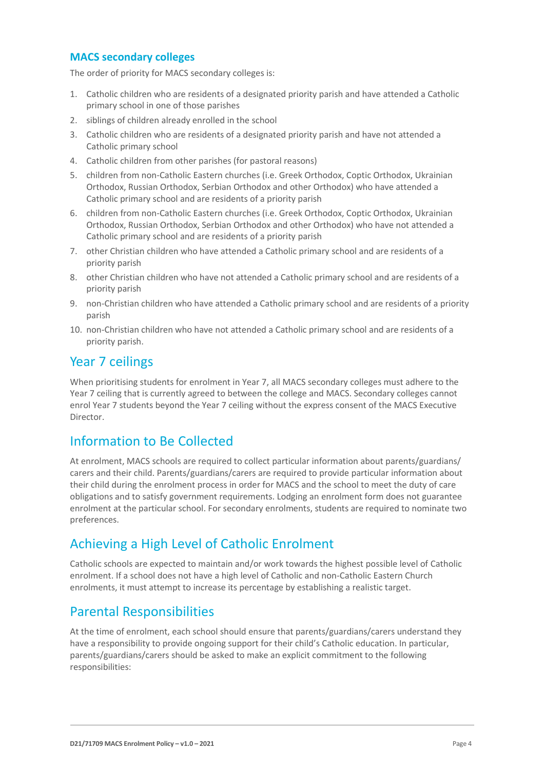### **MACS secondary colleges**

The order of priority for MACS secondary colleges is:

- 1. Catholic children who are residents of a designated priority parish and have attended a Catholic primary school in one of those parishes
- 2. siblings of children already enrolled in the school
- 3. Catholic children who are residents of a designated priority parish and have not attended a Catholic primary school
- 4. Catholic children from other parishes (for pastoral reasons)
- 5. children from non-Catholic Eastern churches (i.e. Greek Orthodox, Coptic Orthodox, Ukrainian Orthodox, Russian Orthodox, Serbian Orthodox and other Orthodox) who have attended a Catholic primary school and are residents of a priority parish
- 6. children from non-Catholic Eastern churches (i.e. Greek Orthodox, Coptic Orthodox, Ukrainian Orthodox, Russian Orthodox, Serbian Orthodox and other Orthodox) who have not attended a Catholic primary school and are residents of a priority parish
- 7. other Christian children who have attended a Catholic primary school and are residents of a priority parish
- 8. other Christian children who have not attended a Catholic primary school and are residents of a priority parish
- 9. non-Christian children who have attended a Catholic primary school and are residents of a priority parish
- 10. non-Christian children who have not attended a Catholic primary school and are residents of a priority parish.

### Year 7 ceilings

When prioritising students for enrolment in Year 7, all MACS secondary colleges must adhere to the Year 7 ceiling that is currently agreed to between the college and MACS. Secondary colleges cannot enrol Year 7 students beyond the Year 7 ceiling without the express consent of the MACS Executive Director.

### Information to Be Collected

At enrolment, MACS schools are required to collect particular information about parents/guardians/ carers and their child. Parents/guardians/carers are required to provide particular information about their child during the enrolment process in order for MACS and the school to meet the duty of care obligations and to satisfy government requirements. Lodging an enrolment form does not guarantee enrolment at the particular school. For secondary enrolments, students are required to nominate two preferences.

### Achieving a High Level of Catholic Enrolment

Catholic schools are expected to maintain and/or work towards the highest possible level of Catholic enrolment. If a school does not have a high level of Catholic and non-Catholic Eastern Church enrolments, it must attempt to increase its percentage by establishing a realistic target.

### Parental Responsibilities

At the time of enrolment, each school should ensure that parents/guardians/carers understand they have a responsibility to provide ongoing support for their child's Catholic education. In particular, parents/guardians/carers should be asked to make an explicit commitment to the following responsibilities: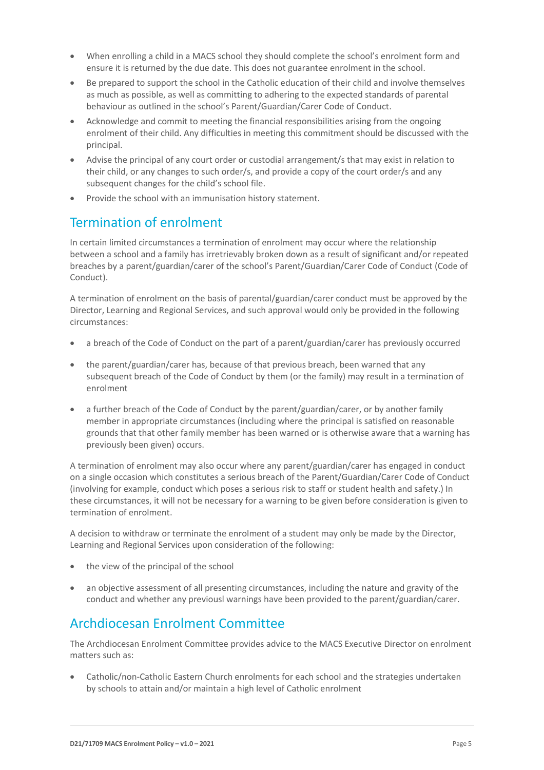- When enrolling a child in a MACS school they should complete the school's enrolment form and ensure it is returned by the due date. This does not guarantee enrolment in the school.
- Be prepared to support the school in the Catholic education of their child and involve themselves as much as possible, as well as committing to adhering to the expected standards of parental behaviour as outlined in the school's Parent/Guardian/Carer Code of Conduct.
- Acknowledge and commit to meeting the financial responsibilities arising from the ongoing enrolment of their child. Any difficulties in meeting this commitment should be discussed with the principal.
- Advise the principal of any court order or custodial arrangement/s that may exist in relation to their child, or any changes to such order/s, and provide a copy of the court order/s and any subsequent changes for the child's school file.
- Provide the school with an immunisation history statement.

# Termination of enrolment

In certain limited circumstances a termination of enrolment may occur where the relationship between a school and a family has irretrievably broken down as a result of significant and/or repeated breaches by a parent/guardian/carer of the school's Parent/Guardian/Carer Code of Conduct (Code of Conduct).

A termination of enrolment on the basis of parental/guardian/carer conduct must be approved by the Director, Learning and Regional Services, and such approval would only be provided in the following circumstances:

- a breach of the Code of Conduct on the part of a parent/guardian/carer has previously occurred
- the parent/guardian/carer has, because of that previous breach, been warned that any subsequent breach of the Code of Conduct by them (or the family) may result in a termination of enrolment
- a further breach of the Code of Conduct by the parent/guardian/carer, or by another family member in appropriate circumstances (including where the principal is satisfied on reasonable grounds that that other family member has been warned or is otherwise aware that a warning has previously been given) occurs.

A termination of enrolment may also occur where any parent/guardian/carer has engaged in conduct on a single occasion which constitutes a serious breach of the Parent/Guardian/Carer Code of Conduct (involving for example, conduct which poses a serious risk to staff or student health and safety.) In these circumstances, it will not be necessary for a warning to be given before consideration is given to termination of enrolment.

A decision to withdraw or terminate the enrolment of a student may only be made by the Director, Learning and Regional Services upon consideration of the following:

- the view of the principal of the school
- an objective assessment of all presenting circumstances, including the nature and gravity of the conduct and whether any previousl warnings have been provided to the parent/guardian/carer.

# Archdiocesan Enrolment Committee

The Archdiocesan Enrolment Committee provides advice to the MACS Executive Director on enrolment matters such as:

• Catholic/non-Catholic Eastern Church enrolments for each school and the strategies undertaken by schools to attain and/or maintain a high level of Catholic enrolment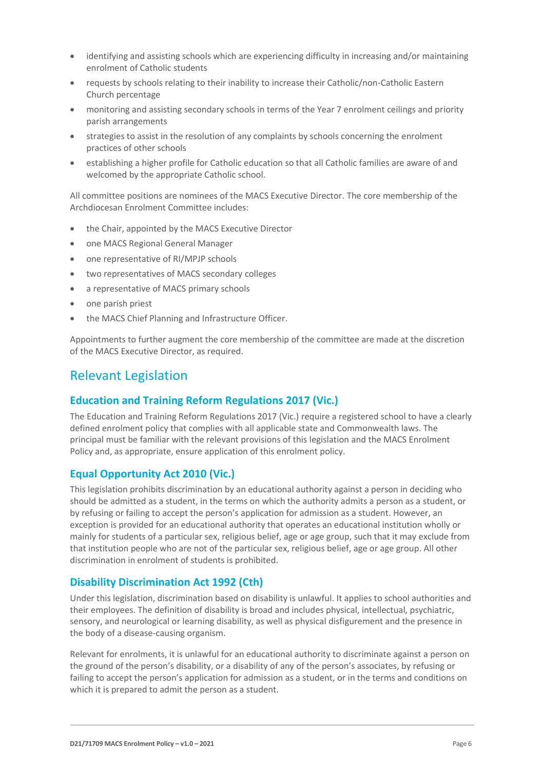- identifying and assisting schools which are experiencing difficulty in increasing and/or maintaining enrolment of Catholic students
- requests by schools relating to their inability to increase their Catholic/non-Catholic Eastern Church percentage
- monitoring and assisting secondary schools in terms of the Year 7 enrolment ceilings and priority parish arrangements
- strategies to assist in the resolution of any complaints by schools concerning the enrolment practices of other schools
- establishing a higher profile for Catholic education so that all Catholic families are aware of and welcomed by the appropriate Catholic school.

All committee positions are nominees of the MACS Executive Director. The core membership of the Archdiocesan Enrolment Committee includes:

- the Chair, appointed by the MACS Executive Director
- one MACS Regional General Manager
- one representative of RI/MPJP schools
- two representatives of MACS secondary colleges
- a representative of MACS primary schools
- one parish priest
- the MACS Chief Planning and Infrastructure Officer.

Appointments to further augment the core membership of the committee are made at the discretion of the MACS Executive Director, as required.

### Relevant Legislation

### **Education and Training Reform Regulations 2017 (Vic.)**

The Education and Training Reform Regulations 2017 (Vic.) require a registered school to have a clearly defined enrolment policy that complies with all applicable state and Commonwealth laws. The principal must be familiar with the relevant provisions of this legislation and the MACS Enrolment Policy and, as appropriate, ensure application of this enrolment policy.

### **Equal Opportunity Act 2010 (Vic.)**

This legislation prohibits discrimination by an educational authority against a person in deciding who should be admitted as a student, in the terms on which the authority admits a person as a student, or by refusing or failing to accept the person's application for admission as a student. However, an exception is provided for an educational authority that operates an educational institution wholly or mainly for students of a particular sex, religious belief, age or age group, such that it may exclude from that institution people who are not of the particular sex, religious belief, age or age group. All other discrimination in enrolment of students is prohibited.

#### **Disability Discrimination Act 1992 (Cth)**

Under this legislation, discrimination based on disability is unlawful. It applies to school authorities and their employees. The definition of disability is broad and includes physical, intellectual, psychiatric, sensory, and neurological or learning disability, as well as physical disfigurement and the presence in the body of a disease-causing organism.

Relevant for enrolments, it is unlawful for an educational authority to discriminate against a person on the ground of the person's disability, or a disability of any of the person's associates, by refusing or failing to accept the person's application for admission as a student, or in the terms and conditions on which it is prepared to admit the person as a student.